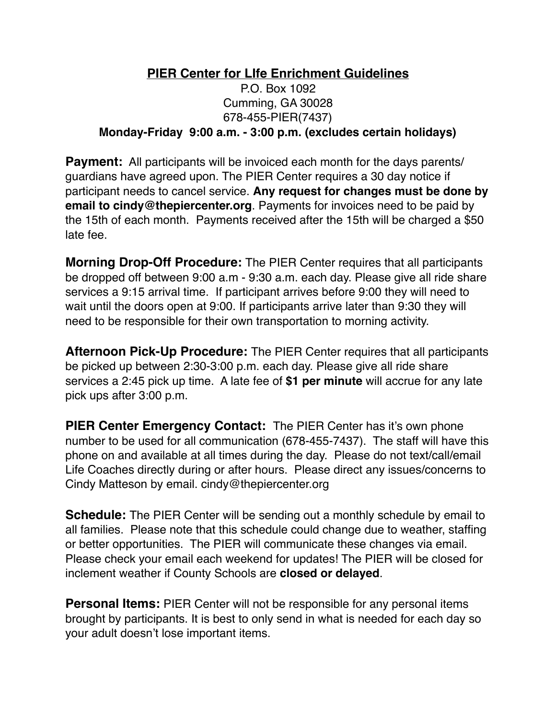## **PIER Center for LIfe Enrichment Guidelines** P.O. Box 1092 Cumming, GA 30028 678-455-PIER(7437) **Monday-Friday 9:00 a.m. - 3:00 p.m. (excludes certain holidays)**

**Payment:** All participants will be invoiced each month for the days parents/ guardians have agreed upon. The PIER Center requires a 30 day notice if participant needs to cancel service. **Any request for changes must be done by email to cindy@thepiercenter.org**. Payments for invoices need to be paid by the 15th of each month. Payments received after the 15th will be charged a \$50 late fee.

**Morning Drop-Off Procedure:** The PIER Center requires that all participants be dropped off between 9:00 a.m - 9:30 a.m. each day. Please give all ride share services a 9:15 arrival time. If participant arrives before 9:00 they will need to wait until the doors open at 9:00. If participants arrive later than 9:30 they will need to be responsible for their own transportation to morning activity.

**Afternoon Pick-Up Procedure:** The PIER Center requires that all participants be picked up between 2:30-3:00 p.m. each day. Please give all ride share services a 2:45 pick up time. A late fee of **\$1 per minute** will accrue for any late pick ups after 3:00 p.m.

**PIER Center Emergency Contact:** The PIER Center has it's own phone number to be used for all communication (678-455-7437). The staff will have this phone on and available at all times during the day. Please do not text/call/email Life Coaches directly during or after hours. Please direct any issues/concerns to Cindy Matteson by email. cindy@thepiercenter.org

**Schedule:** The PIER Center will be sending out a monthly schedule by email to all families. Please note that this schedule could change due to weather, staffing or better opportunities. The PIER will communicate these changes via email. Please check your email each weekend for updates! The PIER will be closed for inclement weather if County Schools are **closed or delayed**.

**Personal Items:** PIER Center will not be responsible for any personal items brought by participants. It is best to only send in what is needed for each day so your adult doesn't lose important items.